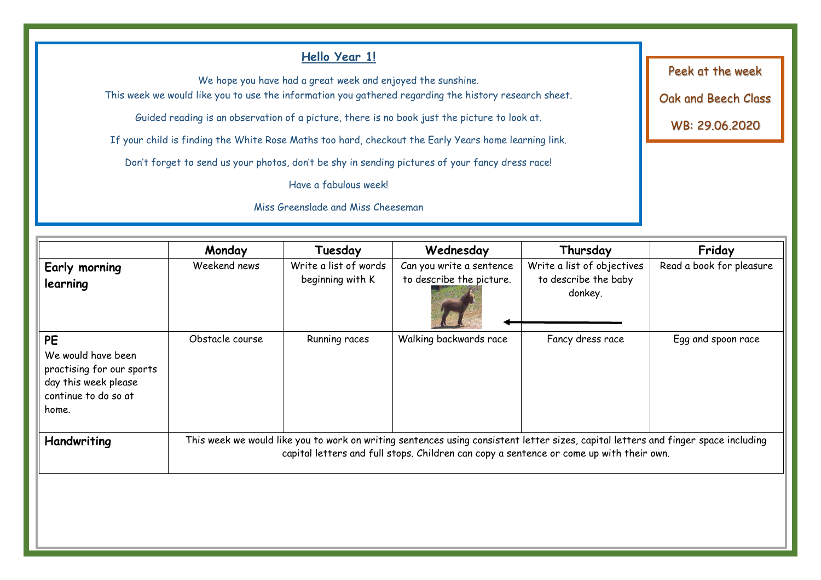#### **Hello Year 1!** We hope you have had a great week and enjoyed the sunshine. This week we would like you to use the information you gathered regarding the history research sheet. Guided reading is an observation of a picture, there is no book just the picture to look at. If your child is finding the White Rose Maths too hard, checkout the Early Years home learning link. Don't forget to send us your photos, don't be shy in sending pictures of your fancy dress race! Have a fabulous week! Miss Greenslade and Miss Cheeseman Peek at the week Oak and Beech Class WB: 29.06.2020 **Monday Tuesday Wednesday Thursday Friday Early morning learning**  Weekend news Write a list of words beginning with K Can you write a sentence to describe the picture. Write a list of objectives to describe the baby donkey. Read a book for pleasure **PE** Obstacle course **Running races** Walking backwards race Fancy dress race Fance Egg and spoon race

Handwriting **This week we would like you to work on writing sentences using consistent letter sizes, capital letters and finger space including** 

capital letters and full stops. Children can copy a sentence or come up with their own.

We would have been practising for our sports day this week please continue to do so at

home.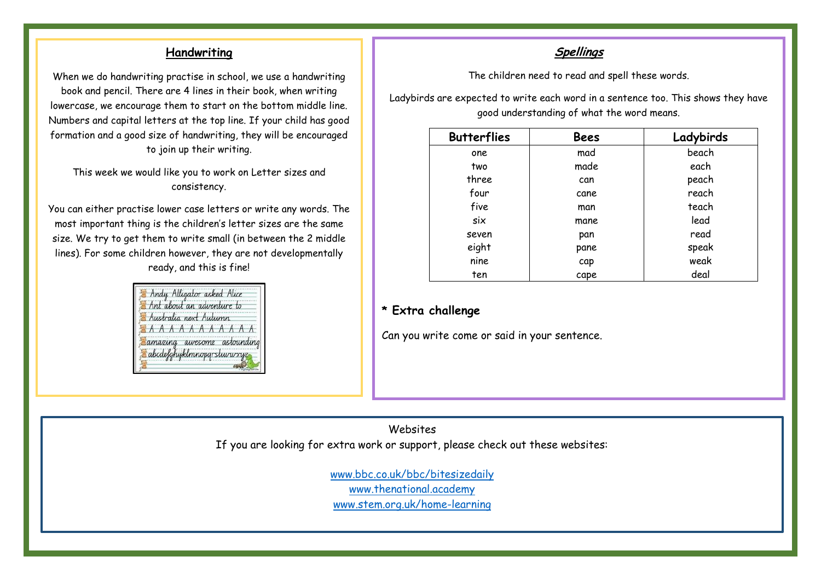### **Handwriting**

When we do handwriting practise in school, we use a handwriting book and pencil. There are 4 lines in their book, when writing lowercase, we encourage them to start on the bottom middle line. Numbers and capital letters at the top line. If your child has good formation and a good size of handwriting, they will be encouraged to join up their writing.

This week we would like you to work on Letter sizes and consistency.

You can either practise lower case letters or write any words. The most important thing is the children's letter sizes are the same size. We try to get them to write small (in between the 2 middle lines). For some children however, they are not developmentally ready, and this is fine!



### **Spellings**

The children need to read and spell these words.

Ladybirds are expected to write each word in a sentence too. This shows they have good understanding of what the word means.

| <b>Butterflies</b> | <b>Bees</b> | Ladybirds |
|--------------------|-------------|-----------|
| one                | mad         | beach     |
| two                | made        | each      |
| three              | can         | peach     |
| four               | cane        | reach     |
| five               | man         | teach     |
| six                | mane        | lead      |
| seven              | pan         | read      |
| eight              | pane        | speak     |
| nine               | cap         | weak      |
| ten                | cape        | deal      |

#### **\* Extra challenge**

Can you write come or said in your sentence.

Websites If you are looking for extra work or support, please check out these websites:

> [www.bbc.co.uk/bbc/bitesizedaily](http://www.bbc.co.uk/bbc/bitesizedaily) [www.thenational.academy](http://www.thenational.academy/) [www.stem.org.uk/home-learning](http://www.stem.org.uk/home-learning)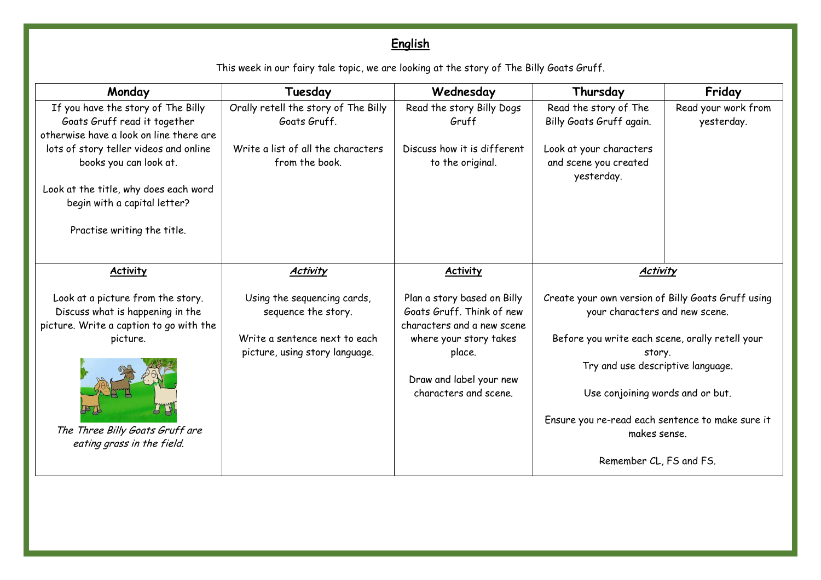# **English**

This week in our fairy tale topic, we are looking at the story of The Billy Goats Gruff.

| Monday                                                                                                           | Tuesday                                              | Wednesday                                                                              | Thursday                                                                             | Friday                            |
|------------------------------------------------------------------------------------------------------------------|------------------------------------------------------|----------------------------------------------------------------------------------------|--------------------------------------------------------------------------------------|-----------------------------------|
| If you have the story of The Billy<br>Goats Gruff read it together<br>otherwise have a look on line there are    | Orally retell the story of The Billy<br>Goats Gruff. | Read the story Billy Dogs<br>Gruff                                                     | Read the story of The<br>Billy Goats Gruff again.                                    | Read your work from<br>yesterday. |
| lots of story teller videos and online<br>books you can look at.                                                 | Write a list of all the characters<br>from the book. | Discuss how it is different<br>to the original.                                        | Look at your characters<br>and scene you created<br>yesterday.                       |                                   |
| Look at the title, why does each word<br>begin with a capital letter?                                            |                                                      |                                                                                        |                                                                                      |                                   |
| Practise writing the title.                                                                                      |                                                      |                                                                                        |                                                                                      |                                   |
| <b>Activity</b>                                                                                                  | <b>Activity</b>                                      | <b>Activity</b>                                                                        | <b>Activity</b>                                                                      |                                   |
| Look at a picture from the story.<br>Discuss what is happening in the<br>picture. Write a caption to go with the | Using the sequencing cards,<br>sequence the story.   | Plan a story based on Billy<br>Goats Gruff. Think of new<br>characters and a new scene | Create your own version of Billy Goats Gruff using<br>your characters and new scene. |                                   |
| picture.                                                                                                         | Write a sentence next to each                        | where your story takes                                                                 | Before you write each scene, orally retell your                                      |                                   |
|                                                                                                                  | picture, using story language.                       | place.                                                                                 | story.<br>Try and use descriptive language.                                          |                                   |
|                                                                                                                  |                                                      | Draw and label your new<br>characters and scene.                                       | Use conjoining words and or but.                                                     |                                   |
| The Three Billy Goats Gruff are<br>eating grass in the field.                                                    |                                                      |                                                                                        | Ensure you re-read each sentence to make sure it<br>makes sense.                     |                                   |
|                                                                                                                  |                                                      |                                                                                        | Remember CL, FS and FS.                                                              |                                   |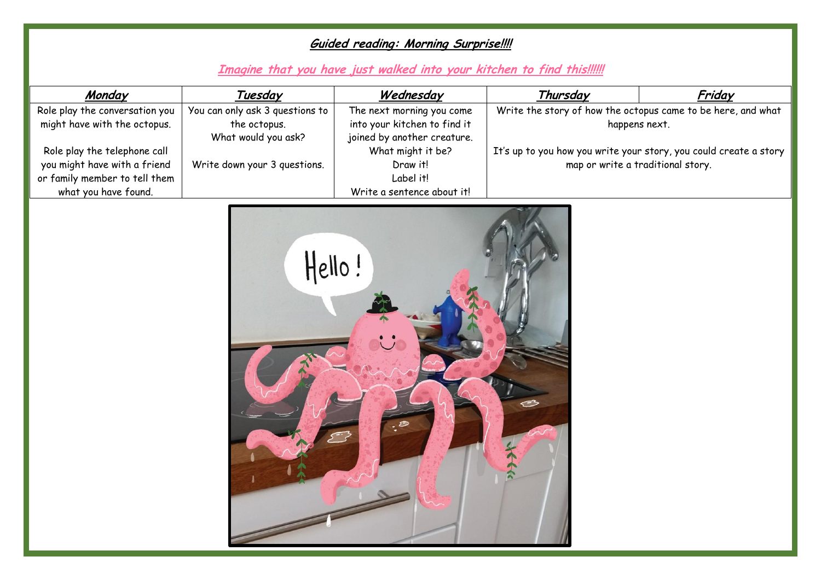## **Guided reading: Morning Surprise!!!!**

## **Imagine that you have just walked into your kitchen to find this!!!!!!**

| Monday                         | Tuesday                         | Wednesday                    | Thursday                                                          | Friday |
|--------------------------------|---------------------------------|------------------------------|-------------------------------------------------------------------|--------|
| Role play the conversation you | You can only ask 3 questions to | The next morning you come    | Write the story of how the octopus came to be here, and what      |        |
| might have with the octopus.   | the octopus.                    | into your kitchen to find it | happens next.                                                     |        |
|                                | What would you ask?             | joined by another creature.  |                                                                   |        |
| Role play the telephone call   |                                 | What might it be?            | It's up to you how you write your story, you could create a story |        |
| you might have with a friend   | Write down your 3 questions.    | Draw it!                     | map or write a traditional story.                                 |        |
| or family member to tell them  |                                 | Label it!                    |                                                                   |        |
| what you have found.           |                                 | Write a sentence about it!   |                                                                   |        |

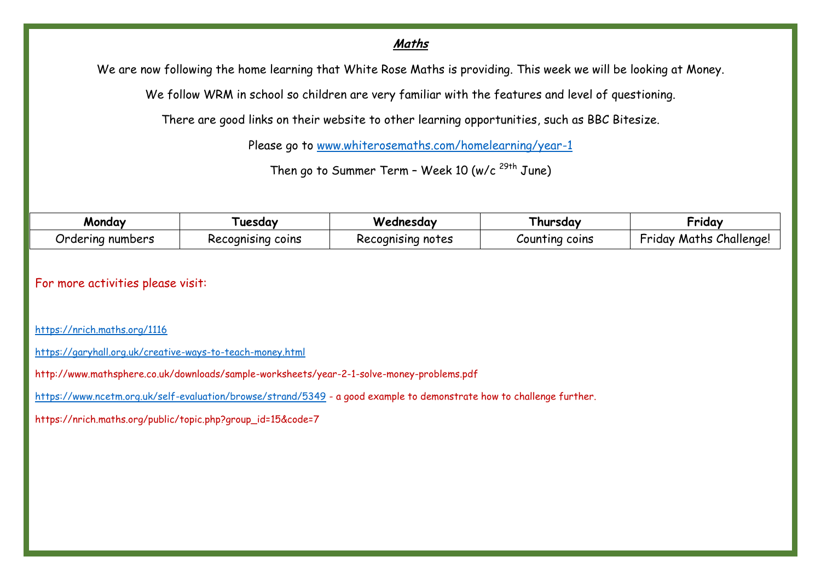### **Maths**

We are now following the home learning that White Rose Maths is providing. This week we will be looking at Money.

We follow WRM in school so children are very familiar with the features and level of questioning.

There are good links on their website to other learning opportunities, such as BBC Bitesize.

Please go to [www.whiterosemaths.com/homelearning/year-1](http://www.whiterosemaths.com/homelearning/year-1)

Then go to Summer Term - Week 10 (w/c  $^{29th}$  June)

| Mondav                   | uesdav                    | Wednesday         | l hursdav      | •rıdav                                    |
|--------------------------|---------------------------|-------------------|----------------|-------------------------------------------|
| -<br>numbers<br>Urderina | cognising coins<br>Recoar | Recognising notes | Counting coins | $\sim$<br>Challenge!<br>Maths<br>hriday . |

For more activities please visit:

<https://nrich.maths.org/1116>

<https://garyhall.org.uk/creative-ways-to-teach-money.html>

http://www.mathsphere.co.uk/downloads/sample-worksheets/year-2-1-solve-money-problems.pdf

<https://www.ncetm.org.uk/self-evaluation/browse/strand/5349> - a good example to demonstrate how to challenge further.

https://nrich.maths.org/public/topic.php?group\_id=15&code=7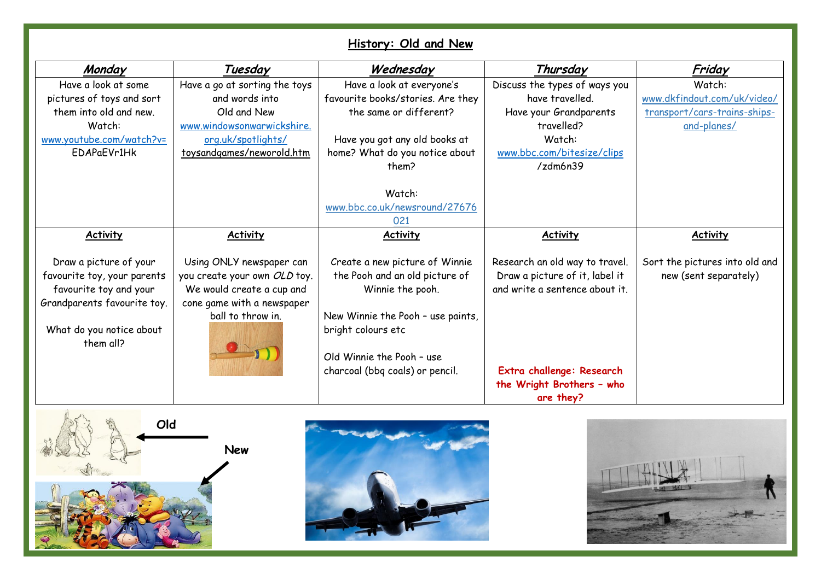## **History: Old and New**

| Monday                      | Tuesday                       | Wednesday                         | Thursday                       | Friday                         |
|-----------------------------|-------------------------------|-----------------------------------|--------------------------------|--------------------------------|
| Have a look at some         | Have a go at sorting the toys | Have a look at everyone's         | Discuss the types of ways you  | Watch:                         |
| pictures of toys and sort   | and words into                | favourite books/stories. Are they | have travelled.                | www.dkfindout.com/uk/video/    |
| them into old and new.      | Old and New                   | the same or different?            | Have your Grandparents         | transport/cars-trains-ships-   |
| Watch:                      | www.windowsonwarwickshire.    |                                   | travelled?                     | and-planes/                    |
| www.youtube.com/watch?v=    | org.uk/spotlights/            | Have you got any old books at     | Watch:                         |                                |
| EDAPaEVr1Hk                 | toysandgames/neworold.htm     | home? What do you notice about    | www.bbc.com/bitesize/clips     |                                |
|                             |                               | them?                             | /zdm6n39                       |                                |
|                             |                               |                                   |                                |                                |
|                             |                               | Watch:                            |                                |                                |
|                             |                               | www.bbc.co.uk/newsround/27676     |                                |                                |
|                             |                               | 021                               |                                |                                |
| <b>Activity</b>             | <b>Activity</b>               | <b>Activity</b>                   | <b>Activity</b>                | <b>Activity</b>                |
|                             |                               |                                   |                                |                                |
| Draw a picture of your      | Using ONLY newspaper can      | Create a new picture of Winnie    | Research an old way to travel. | Sort the pictures into old and |
| favourite toy, your parents | you create your own OLD toy.  | the Pooh and an old picture of    | Draw a picture of it, label it | new (sent separately)          |
| favourite toy and your      | We would create a cup and     | Winnie the pooh.                  | and write a sentence about it. |                                |
| Grandparents favourite toy. | cone game with a newspaper    |                                   |                                |                                |
|                             | ball to throw in.             | New Winnie the Pooh - use paints, |                                |                                |
| What do you notice about    |                               | bright colours etc                |                                |                                |
| them all?                   |                               |                                   |                                |                                |
|                             |                               | Old Winnie the Pooh - use         |                                |                                |
|                             |                               | charcoal (bbq coals) or pencil.   | Extra challenge: Research      |                                |
|                             |                               |                                   | the Wright Brothers - who      |                                |
|                             |                               |                                   | are they?                      |                                |